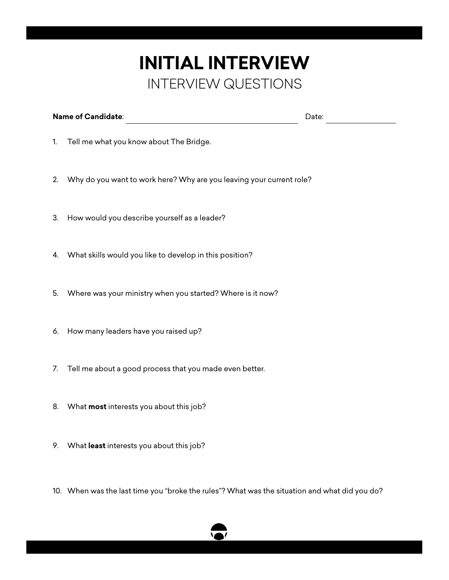## **INITIAL INTERVIEW** INTERVIEW QUESTIONS

| <b>Name of Candidate:</b><br>Date: |
|------------------------------------|
|------------------------------------|

- 1. Tell me what you know about The Bridge.
- 2. Why do you want to work here? Why are you leaving your current role?
- 3. How would you describe yourself as a leader?
- 4. What skills would you like to develop in this position?
- 5. Where was your ministry when you started? Where is it now?
- 6. How many leaders have you raised up?
- 7. Tell me about a good process that you made even better.
- 8. What **most** interests you about this job?
- 9. What **least** interests you about this job?
- 10. When was the last time you "broke the rules"? What was the situation and what did you do?